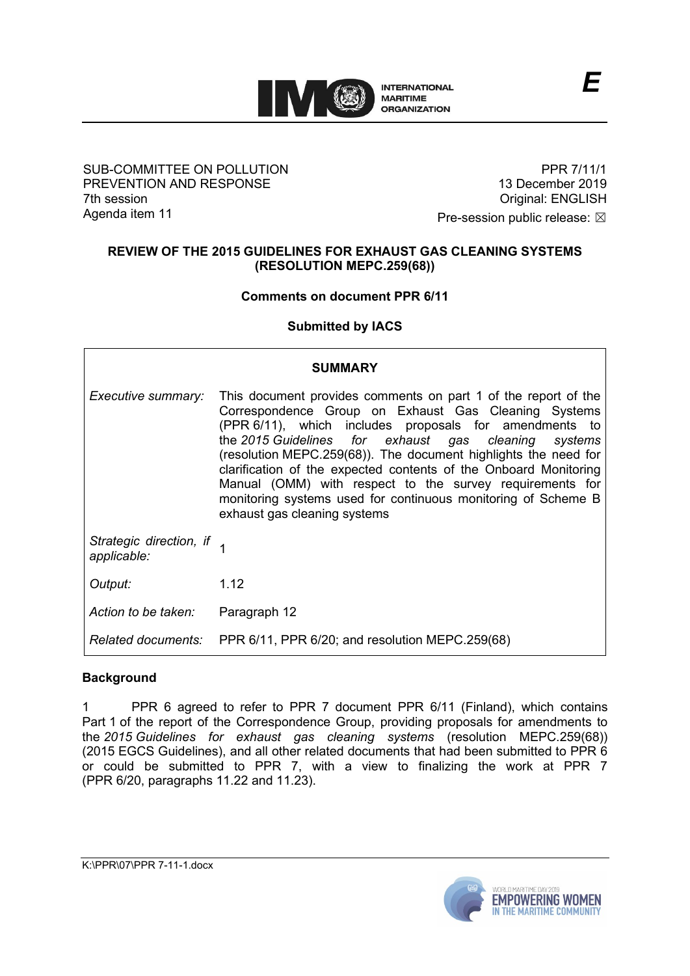

### SUB-COMMITTEE ON POLLUTION PREVENTION AND RESPONSE 7th session Agenda item 11

PPR 7/11/1 13 December 2019 Original: ENGLISH

Pre-session public release:  $\boxtimes$ 

## **REVIEW OF THE 2015 GUIDELINES FOR EXHAUST GAS CLEANING SYSTEMS (RESOLUTION MEPC.259(68))**

## **Comments on document PPR 6/11**

## **Submitted by IACS**

| <b>SUMMARY</b>                           |                                                                                                                                                                                                                                                                                                                                                                                                                                                                                                                                              |
|------------------------------------------|----------------------------------------------------------------------------------------------------------------------------------------------------------------------------------------------------------------------------------------------------------------------------------------------------------------------------------------------------------------------------------------------------------------------------------------------------------------------------------------------------------------------------------------------|
| Executive summary:                       | This document provides comments on part 1 of the report of the<br>Correspondence Group on Exhaust Gas Cleaning Systems<br>(PPR 6/11), which includes proposals for amendments to<br>the 2015 Guidelines for exhaust gas cleaning systems<br>(resolution MEPC.259(68)). The document highlights the need for<br>clarification of the expected contents of the Onboard Monitoring<br>Manual (OMM) with respect to the survey requirements for<br>monitoring systems used for continuous monitoring of Scheme B<br>exhaust gas cleaning systems |
| Strategic direction, if 1<br>applicable: |                                                                                                                                                                                                                                                                                                                                                                                                                                                                                                                                              |
| Output:                                  | 1.12                                                                                                                                                                                                                                                                                                                                                                                                                                                                                                                                         |
| Action to be taken:                      | Paragraph 12                                                                                                                                                                                                                                                                                                                                                                                                                                                                                                                                 |
|                                          | Related documents: PPR 6/11, PPR 6/20; and resolution MEPC.259(68)                                                                                                                                                                                                                                                                                                                                                                                                                                                                           |

## **Background**

1 PPR 6 agreed to refer to PPR 7 document PPR 6/11 (Finland), which contains Part 1 of the report of the Correspondence Group, providing proposals for amendments to the *2015 Guidelines for exhaust gas cleaning systems* (resolution MEPC.259(68)) (2015 EGCS Guidelines), and all other related documents that had been submitted to PPR 6 or could be submitted to PPR 7, with a view to finalizing the work at PPR 7 (PPR 6/20, paragraphs 11.22 and 11.23).

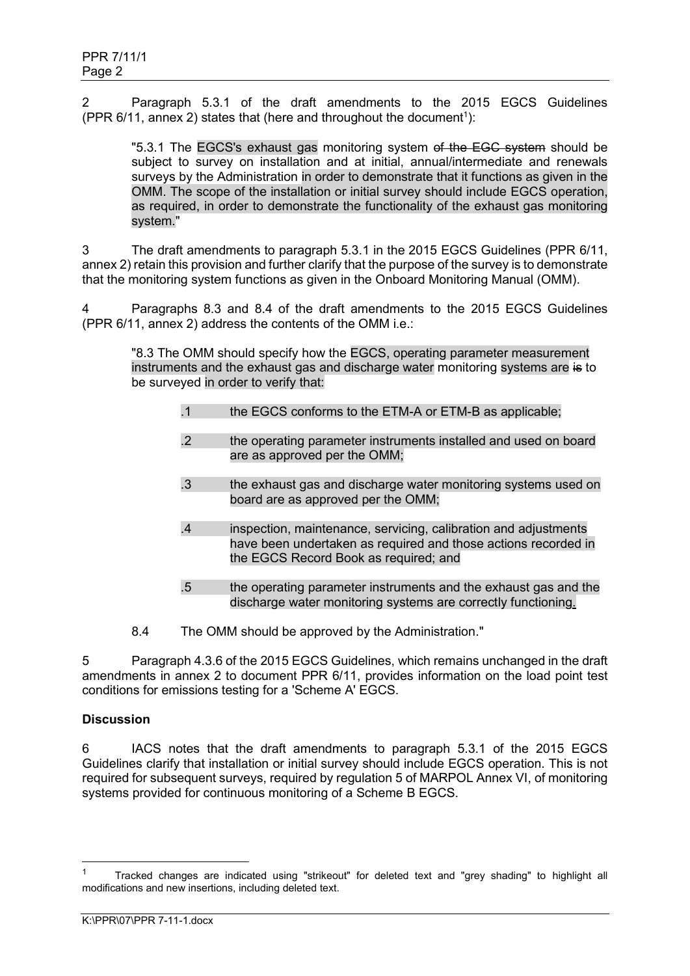2 Paragraph 5.3.1 of the draft amendments to the 2015 EGCS Guidelines (PPR  $6/11$ , annex 2) states that (here and throughout the document<sup>1</sup>):

"5.3.1 The EGCS's exhaust gas monitoring system of the EGC system should be subject to survey on installation and at initial, annual/intermediate and renewals surveys by the Administration in order to demonstrate that it functions as given in the OMM. The scope of the installation or initial survey should include EGCS operation, as required, in order to demonstrate the functionality of the exhaust gas monitoring system."

3 The draft amendments to paragraph 5.3.1 in the 2015 EGCS Guidelines (PPR 6/11, annex 2) retain this provision and further clarify that the purpose of the survey is to demonstrate that the monitoring system functions as given in the Onboard Monitoring Manual (OMM).

4 Paragraphs 8.3 and 8.4 of the draft amendments to the 2015 EGCS Guidelines (PPR 6/11, annex 2) address the contents of the OMM i.e.:

"8.3 The OMM should specify how the EGCS, operating parameter measurement instruments and the exhaust gas and discharge water monitoring systems are is to be surveyed in order to verify that:

- .1 the EGCS conforms to the ETM-A or ETM-B as applicable;
- .2 the operating parameter instruments installed and used on board are as approved per the OMM;
- .3 the exhaust gas and discharge water monitoring systems used on board are as approved per the OMM;
- .4 inspection, maintenance, servicing, calibration and adjustments have been undertaken as required and those actions recorded in the EGCS Record Book as required; and
- .5 the operating parameter instruments and the exhaust gas and the discharge water monitoring systems are correctly functioning.
- 8.4 The OMM should be approved by the Administration."

5 Paragraph 4.3.6 of the 2015 EGCS Guidelines, which remains unchanged in the draft amendments in annex 2 to document PPR 6/11, provides information on the load point test conditions for emissions testing for a 'Scheme A' EGCS.

## **Discussion**

6 IACS notes that the draft amendments to paragraph 5.3.1 of the 2015 EGCS Guidelines clarify that installation or initial survey should include EGCS operation. This is not required for subsequent surveys, required by regulation 5 of MARPOL Annex VI, of monitoring systems provided for continuous monitoring of a Scheme B EGCS.

<sup>1</sup> Tracked changes are indicated using "strikeout" for deleted text and "grey shading" to highlight all modifications and new insertions, including deleted text.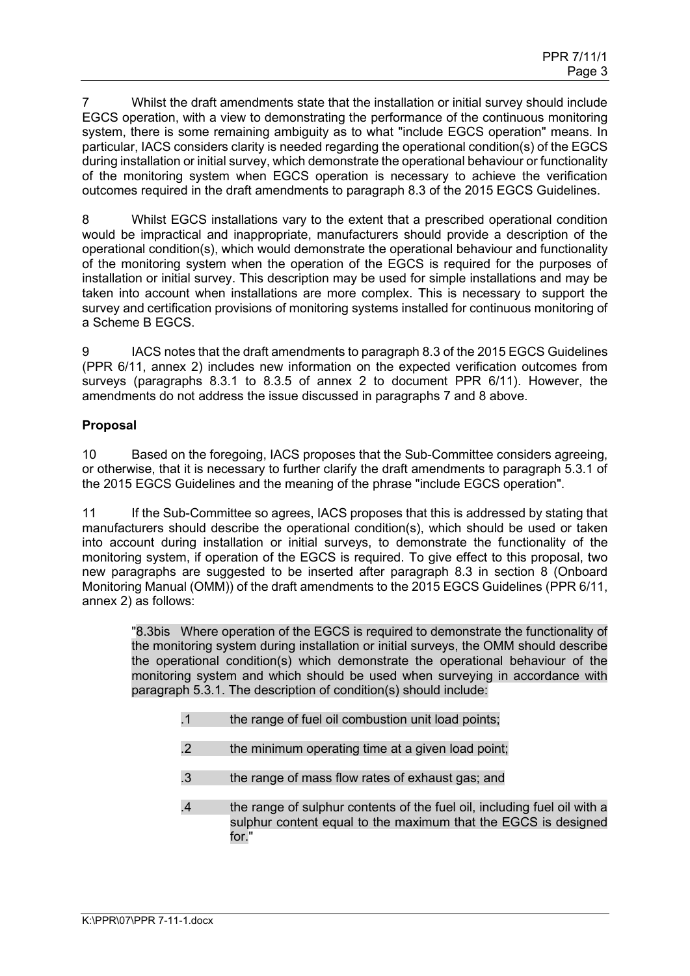7 Whilst the draft amendments state that the installation or initial survey should include EGCS operation, with a view to demonstrating the performance of the continuous monitoring system, there is some remaining ambiguity as to what "include EGCS operation" means. In particular, IACS considers clarity is needed regarding the operational condition(s) of the EGCS during installation or initial survey, which demonstrate the operational behaviour or functionality of the monitoring system when EGCS operation is necessary to achieve the verification outcomes required in the draft amendments to paragraph 8.3 of the 2015 EGCS Guidelines.

8 Whilst EGCS installations vary to the extent that a prescribed operational condition would be impractical and inappropriate, manufacturers should provide a description of the operational condition(s), which would demonstrate the operational behaviour and functionality of the monitoring system when the operation of the EGCS is required for the purposes of installation or initial survey. This description may be used for simple installations and may be taken into account when installations are more complex. This is necessary to support the survey and certification provisions of monitoring systems installed for continuous monitoring of a Scheme B EGCS.

9 IACS notes that the draft amendments to paragraph 8.3 of the 2015 EGCS Guidelines (PPR 6/11, annex 2) includes new information on the expected verification outcomes from surveys (paragraphs 8.3.1 to 8.3.5 of annex 2 to document PPR 6/11). However, the amendments do not address the issue discussed in paragraphs 7 and 8 above.

## **Proposal**

10 Based on the foregoing, IACS proposes that the Sub-Committee considers agreeing, or otherwise, that it is necessary to further clarify the draft amendments to paragraph 5.3.1 of the 2015 EGCS Guidelines and the meaning of the phrase "include EGCS operation".

11 If the Sub-Committee so agrees, IACS proposes that this is addressed by stating that manufacturers should describe the operational condition(s), which should be used or taken into account during installation or initial surveys, to demonstrate the functionality of the monitoring system, if operation of the EGCS is required. To give effect to this proposal, two new paragraphs are suggested to be inserted after paragraph 8.3 in section 8 (Onboard Monitoring Manual (OMM)) of the draft amendments to the 2015 EGCS Guidelines (PPR 6/11, annex 2) as follows:

"8.3bis Where operation of the EGCS is required to demonstrate the functionality of the monitoring system during installation or initial surveys, the OMM should describe the operational condition(s) which demonstrate the operational behaviour of the monitoring system and which should be used when surveying in accordance with paragraph 5.3.1. The description of condition(s) should include:

- .1 the range of fuel oil combustion unit load points;
- .2 the minimum operating time at a given load point;
- .3 the range of mass flow rates of exhaust gas; and
- .4 the range of sulphur contents of the fuel oil, including fuel oil with a sulphur content equal to the maximum that the EGCS is designed for "